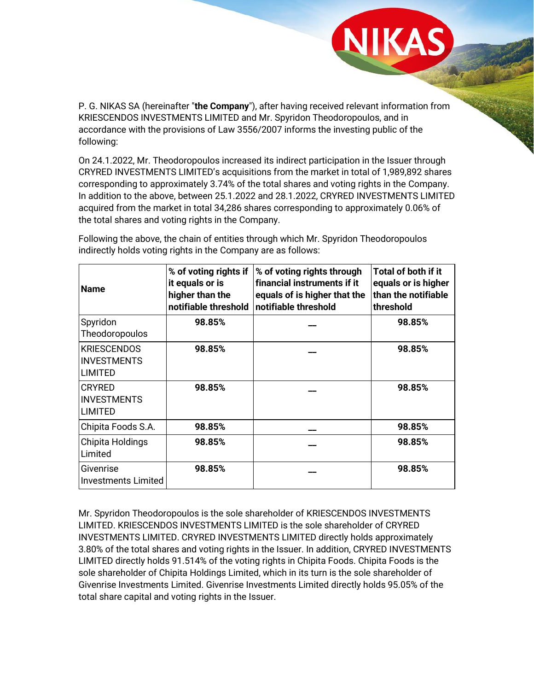P. G. NIKAS SA (hereinafter "**the Company**"), after having received relevant information from KRIESCENDOS INVESTMENTS LIMITED and Mr. Spyridon Theodoropoulos, and in accordance with the provisions of Law 3556/2007 informs the investing public of the following:

On 24.1.2022, Mr. Theodoropoulos increased its indirect participation in the Issuer through CRYRED INVESTMENTS LIMITED's acquisitions from the market in total of 1,989,892 shares corresponding to approximately 3.74% of the total shares and voting rights in the Company. In addition to the above, between 25.1.2022 and 28.1.2022, CRYRED INVESTMENTS LIMITED acquired from the market in total 34,286 shares corresponding to approximately 0.06% of the total shares and voting rights in the Company.

| <b>Name</b>                                                | % of voting rights if<br>it equals or is<br>higher than the<br>notifiable threshold | % of voting rights through<br>financial instruments if it<br>equals of is higher that the<br>notifiable threshold | <b>Total of both if it</b><br>equals or is higher<br>than the notifiable<br>threshold |
|------------------------------------------------------------|-------------------------------------------------------------------------------------|-------------------------------------------------------------------------------------------------------------------|---------------------------------------------------------------------------------------|
| Spyridon<br>Theodoropoulos                                 | 98.85%                                                                              |                                                                                                                   | 98.85%                                                                                |
| <b>KRIESCENDOS</b><br><b>INVESTMENTS</b><br><b>LIMITED</b> | 98.85%                                                                              |                                                                                                                   | 98.85%                                                                                |
| <b>CRYRED</b><br><b>INVESTMENTS</b><br><b>LIMITED</b>      | 98.85%                                                                              |                                                                                                                   | 98.85%                                                                                |
| Chipita Foods S.A.                                         | 98.85%                                                                              |                                                                                                                   | 98.85%                                                                                |
| Chipita Holdings<br>Limited                                | 98.85%                                                                              |                                                                                                                   | 98.85%                                                                                |
| Givenrise<br><b>Investments Limited</b>                    | 98.85%                                                                              |                                                                                                                   | 98.85%                                                                                |

Following the above, the chain of entities through which Mr. Spyridon Theodoropoulos indirectly holds voting rights in the Company are as follows:

Mr. Spyridon Theodoropoulos is the sole shareholder of KRIESCENDOS INVESTMENTS LIMITED. KRIESCENDOS INVESTMENTS LIMITED is the sole shareholder of CRYRED INVESTMENTS LIMITED. CRYRED INVESTMENTS LIMITED directly holds approximately 3.80% of the total shares and voting rights in the Issuer. In addition, CRYRED INVESTMENTS LIMITED directly holds 91.514% of the voting rights in Chipita Foods. Chipita Foods is the sole shareholder of Chipita Holdings Limited, which in its turn is the sole shareholder of Givenrise Investments Limited. Givenrise Investments Limited directly holds 95.05% of the total share capital and voting rights in the Issuer.